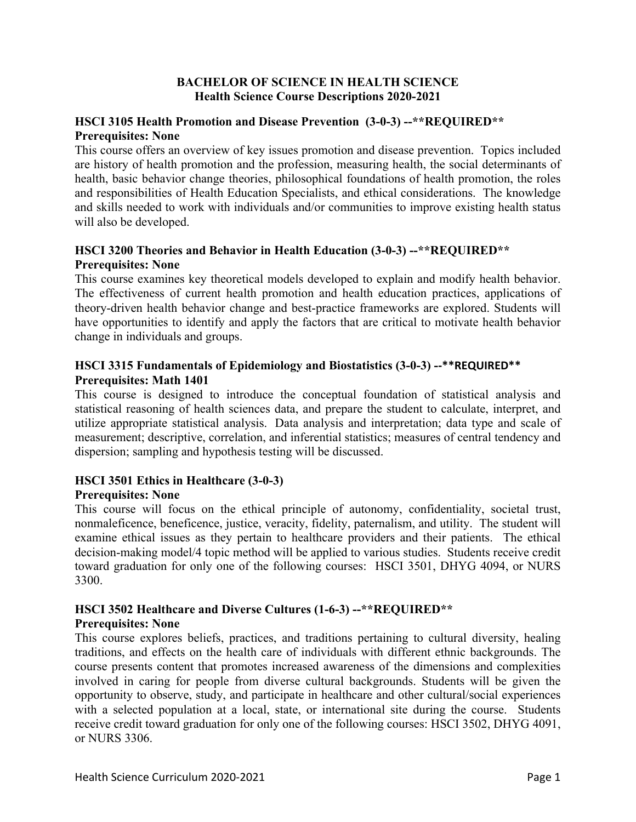#### **BACHELOR OF SCIENCE IN HEALTH SCIENCE Health Science Course Descriptions 2020-2021**

## **HSCI 3105 Health Promotion and Disease Prevention (3-0-3) --\*\*REQUIRED\*\* Prerequisites: None**

This course offers an overview of key issues promotion and disease prevention. Topics included are history of health promotion and the profession, measuring health, the social determinants of health, basic behavior change theories, philosophical foundations of health promotion, the roles and responsibilities of Health Education Specialists, and ethical considerations. The knowledge and skills needed to work with individuals and/or communities to improve existing health status will also be developed.

## **HSCI 3200 Theories and Behavior in Health Education (3-0-3) --\*\*REQUIRED\*\* Prerequisites: None**

This course examines key theoretical models developed to explain and modify health behavior. The effectiveness of current health promotion and health education practices, applications of theory-driven health behavior change and best-practice frameworks are explored. Students will have opportunities to identify and apply the factors that are critical to motivate health behavior change in individuals and groups.

## **HSCI 3315 Fundamentals of Epidemiology and Biostatistics (3-0-3) --\*\*REQUIRED\*\* Prerequisites: Math 1401**

This course is designed to introduce the conceptual foundation of statistical analysis and statistical reasoning of health sciences data, and prepare the student to calculate, interpret, and utilize appropriate statistical analysis. Data analysis and interpretation; data type and scale of measurement; descriptive, correlation, and inferential statistics; measures of central tendency and dispersion; sampling and hypothesis testing will be discussed.

# **HSCI 3501 Ethics in Healthcare (3-0-3)**

## **Prerequisites: None**

This course will focus on the ethical principle of autonomy, confidentiality, societal trust, nonmaleficence, beneficence, justice, veracity, fidelity, paternalism, and utility. The student will examine ethical issues as they pertain to healthcare providers and their patients. The ethical decision-making model/4 topic method will be applied to various studies. Students receive credit toward graduation for only one of the following courses: HSCI 3501, DHYG 4094, or NURS 3300.

## **HSCI 3502 Healthcare and Diverse Cultures (1-6-3) --\*\*REQUIRED\*\* Prerequisites: None**

This course explores beliefs, practices, and traditions pertaining to cultural diversity, healing traditions, and effects on the health care of individuals with different ethnic backgrounds. The course presents content that promotes increased awareness of the dimensions and complexities involved in caring for people from diverse cultural backgrounds. Students will be given the opportunity to observe, study, and participate in healthcare and other cultural/social experiences with a selected population at a local, state, or international site during the course. Students receive credit toward graduation for only one of the following courses: HSCI 3502, DHYG 4091, or NURS 3306.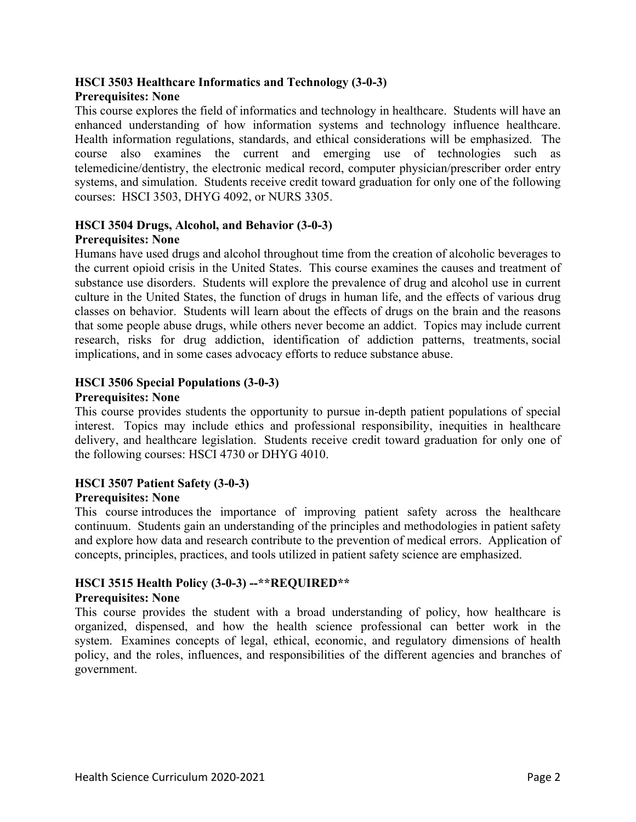# **HSCI 3503 Healthcare Informatics and Technology (3-0-3)**

## **Prerequisites: None**

This course explores the field of informatics and technology in healthcare. Students will have an enhanced understanding of how information systems and technology influence healthcare. Health information regulations, standards, and ethical considerations will be emphasized. The course also examines the current and emerging use of technologies such as telemedicine/dentistry, the electronic medical record, computer physician/prescriber order entry systems, and simulation. Students receive credit toward graduation for only one of the following courses: HSCI 3503, DHYG 4092, or NURS 3305.

#### **HSCI 3504 Drugs, Alcohol, and Behavior (3-0-3) Prerequisites: None**

Humans have used drugs and alcohol throughout time from the creation of alcoholic beverages to the current opioid crisis in the United States. This course examines the causes and treatment of substance use disorders. Students will explore the prevalence of drug and alcohol use in current culture in the United States, the function of drugs in human life, and the effects of various drug classes on behavior. Students will learn about the effects of drugs on the brain and the reasons that some people abuse drugs, while others never become an addict. Topics may include current research, risks for drug addiction, identification of addiction patterns, treatments, social implications, and in some cases advocacy efforts to reduce substance abuse.

## **HSCI 3506 Special Populations (3-0-3)**

## **Prerequisites: None**

This course provides students the opportunity to pursue in-depth patient populations of special interest. Topics may include ethics and professional responsibility, inequities in healthcare delivery, and healthcare legislation. Students receive credit toward graduation for only one of the following courses: HSCI 4730 or DHYG 4010.

## **HSCI 3507 Patient Safety (3-0-3)**

## **Prerequisites: None**

This course introduces the importance of improving patient safety across the healthcare continuum. Students gain an understanding of the principles and methodologies in patient safety and explore how data and research contribute to the prevention of medical errors. Application of concepts, principles, practices, and tools utilized in patient safety science are emphasized.

# **HSCI 3515 Health Policy (3-0-3) --\*\*REQUIRED\*\***

## **Prerequisites: None**

This course provides the student with a broad understanding of policy, how healthcare is organized, dispensed, and how the health science professional can better work in the system. Examines concepts of legal, ethical, economic, and regulatory dimensions of health policy, and the roles, influences, and responsibilities of the different agencies and branches of government.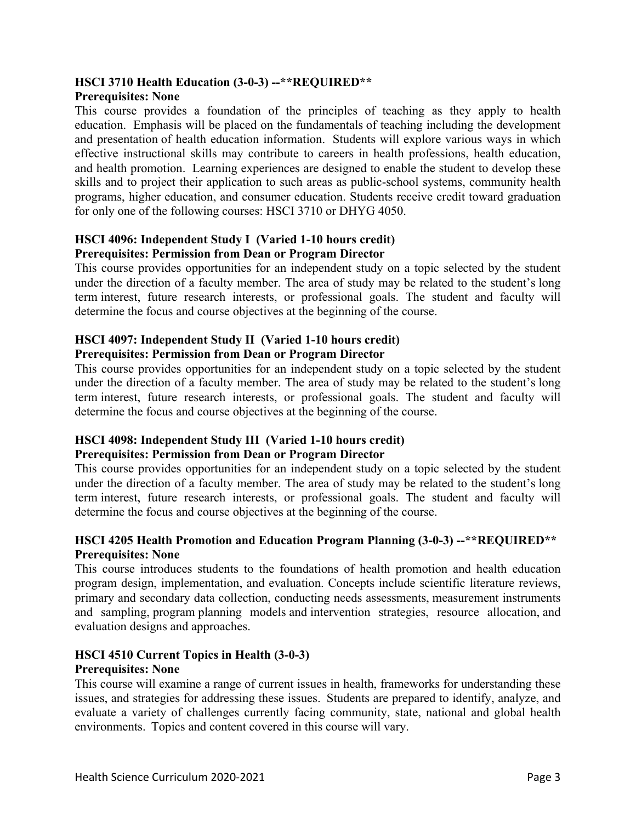# **HSCI 3710 Health Education (3-0-3) --\*\*REQUIRED\*\***

#### **Prerequisites: None**

This course provides a foundation of the principles of teaching as they apply to health education. Emphasis will be placed on the fundamentals of teaching including the development and presentation of health education information. Students will explore various ways in which effective instructional skills may contribute to careers in health professions, health education, and health promotion. Learning experiences are designed to enable the student to develop these skills and to project their application to such areas as public-school systems, community health programs, higher education, and consumer education. Students receive credit toward graduation for only one of the following courses: HSCI 3710 or DHYG 4050.

#### **HSCI 4096: Independent Study I (Varied 1-10 hours credit) Prerequisites: Permission from Dean or Program Director**

This course provides opportunities for an independent study on a topic selected by the student under the direction of a faculty member. The area of study may be related to the student's long term interest, future research interests, or professional goals. The student and faculty will determine the focus and course objectives at the beginning of the course.

## **HSCI 4097: Independent Study II (Varied 1-10 hours credit) Prerequisites: Permission from Dean or Program Director**

This course provides opportunities for an independent study on a topic selected by the student under the direction of a faculty member. The area of study may be related to the student's long term interest, future research interests, or professional goals. The student and faculty will determine the focus and course objectives at the beginning of the course.

## **HSCI 4098: Independent Study III (Varied 1-10 hours credit) Prerequisites: Permission from Dean or Program Director**

This course provides opportunities for an independent study on a topic selected by the student under the direction of a faculty member. The area of study may be related to the student's long term interest, future research interests, or professional goals. The student and faculty will determine the focus and course objectives at the beginning of the course.

## **HSCI 4205 Health Promotion and Education Program Planning (3-0-3) --\*\*REQUIRED\*\* Prerequisites: None**

This course introduces students to the foundations of health promotion and health education program design, implementation, and evaluation. Concepts include scientific literature reviews, primary and secondary data collection, conducting needs assessments, measurement instruments and sampling, program planning models and intervention strategies, resource allocation, and evaluation designs and approaches.

#### **HSCI 4510 Current Topics in Health (3-0-3) Prerequisites: None**

This course will examine a range of current issues in health, frameworks for understanding these issues, and strategies for addressing these issues. Students are prepared to identify, analyze, and evaluate a variety of challenges currently facing community, state, national and global health environments. Topics and content covered in this course will vary.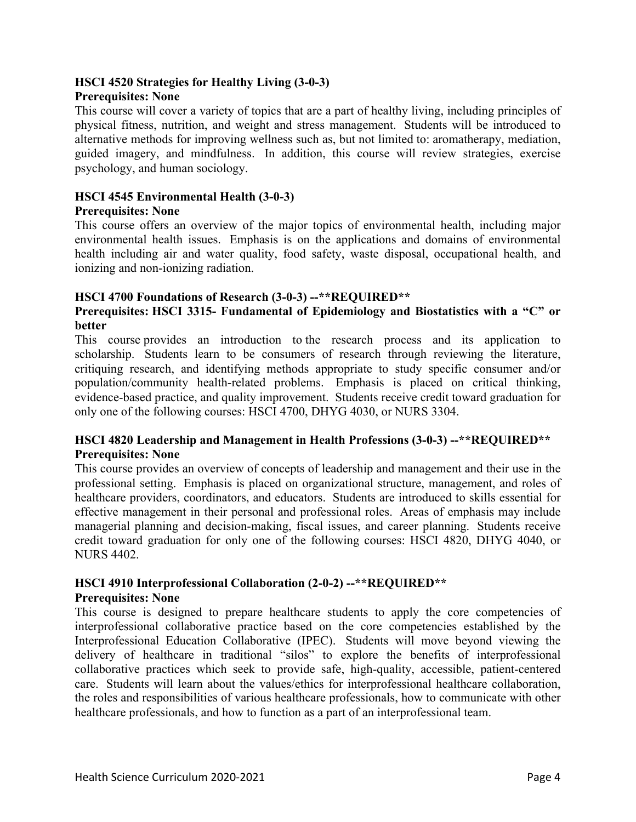## **HSCI 4520 Strategies for Healthy Living (3-0-3)**

## **Prerequisites: None**

This course will cover a variety of topics that are a part of healthy living, including principles of physical fitness, nutrition, and weight and stress management. Students will be introduced to alternative methods for improving wellness such as, but not limited to: aromatherapy, mediation, guided imagery, and mindfulness. In addition, this course will review strategies, exercise psychology, and human sociology.

#### **HSCI 4545 Environmental Health (3-0-3) Prerequisites: None**

ionizing and non-ionizing radiation.

## This course offers an overview of the major topics of environmental health, including major environmental health issues. Emphasis is on the applications and domains of environmental health including air and water quality, food safety, waste disposal, occupational health, and

## **HSCI 4700 Foundations of Research (3-0-3) --\*\*REQUIRED\*\***

## **Prerequisites: HSCI 3315- Fundamental of Epidemiology and Biostatistics with a "C" or better**

This course provides an introduction to the research process and its application to scholarship. Students learn to be consumers of research through reviewing the literature, critiquing research, and identifying methods appropriate to study specific consumer and/or population/community health-related problems. Emphasis is placed on critical thinking, evidence-based practice, and quality improvement. Students receive credit toward graduation for only one of the following courses: HSCI 4700, DHYG 4030, or NURS 3304.

## **HSCI 4820 Leadership and Management in Health Professions (3-0-3) --\*\*REQUIRED\*\* Prerequisites: None**

This course provides an overview of concepts of leadership and management and their use in the professional setting. Emphasis is placed on organizational structure, management, and roles of healthcare providers, coordinators, and educators. Students are introduced to skills essential for effective management in their personal and professional roles. Areas of emphasis may include managerial planning and decision-making, fiscal issues, and career planning. Students receive credit toward graduation for only one of the following courses: HSCI 4820, DHYG 4040, or NURS 4402.

#### **HSCI 4910 Interprofessional Collaboration (2-0-2) --\*\*REQUIRED\*\* Prerequisites: None**

This course is designed to prepare healthcare students to apply the core competencies of interprofessional collaborative practice based on the core competencies established by the Interprofessional Education Collaborative (IPEC). Students will move beyond viewing the delivery of healthcare in traditional "silos" to explore the benefits of interprofessional collaborative practices which seek to provide safe, high-quality, accessible, patient-centered care. Students will learn about the values/ethics for interprofessional healthcare collaboration, the roles and responsibilities of various healthcare professionals, how to communicate with other healthcare professionals, and how to function as a part of an interprofessional team.